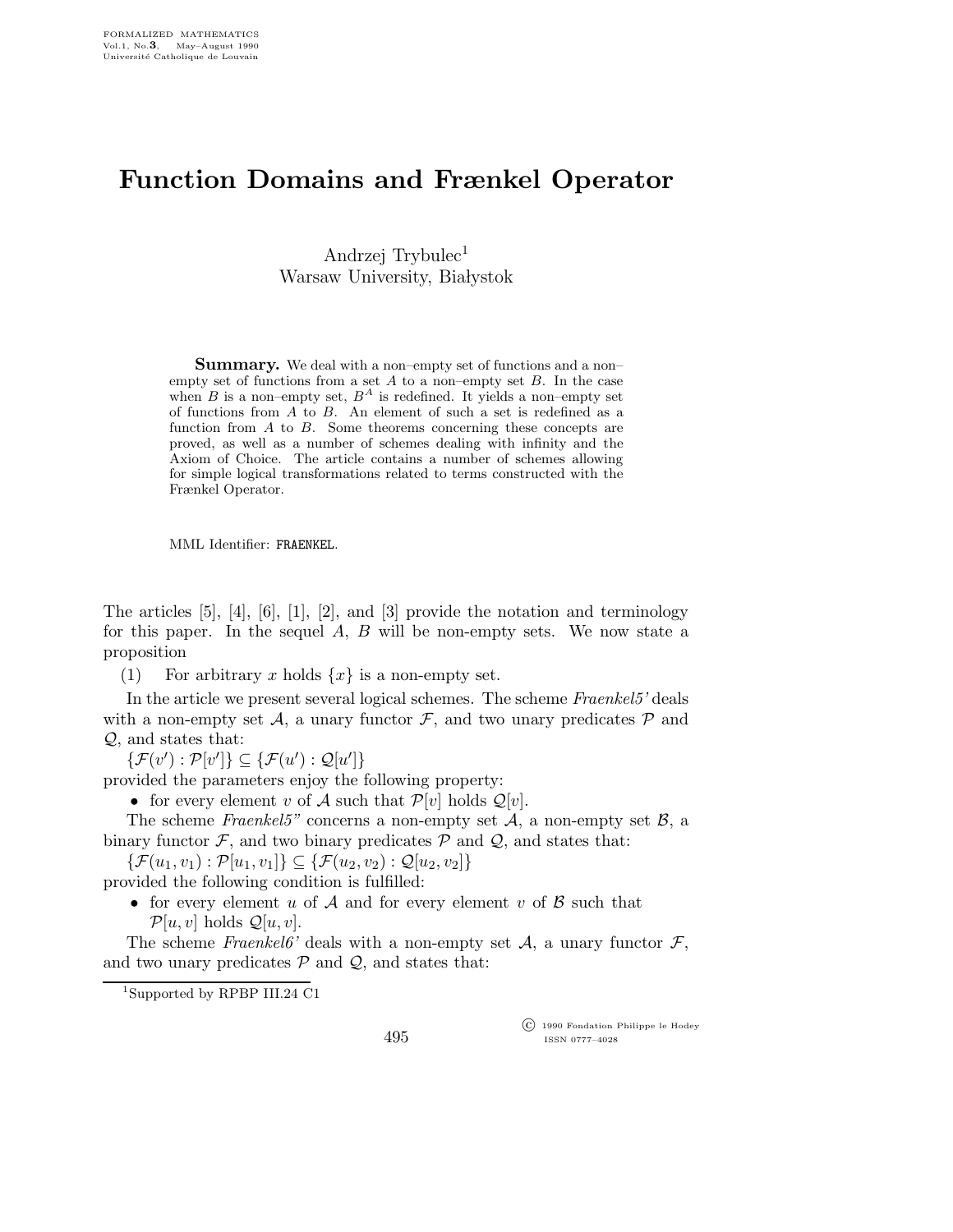## Function Domains and Frænkel Operator

Andrzej Trybulec<sup>1</sup> Warsaw University, Białystok

Summary. We deal with a non–empty set of functions and a non– empty set of functions from a set  $A$  to a non–empty set  $B$ . In the case when  $B$  is a non–empty set,  $B^A$  is redefined. It yields a non–empty set of functions from A to B. An element of such a set is redefined as a function from  $A$  to  $B$ . Some theorems concerning these concepts are proved, as well as a number of schemes dealing with infinity and the Axiom of Choice. The article contains a number of schemes allowing for simple logical transformations related to terms constructed with the Frænkel Operator.

MML Identifier: FRAENKEL.

The articles  $[5]$ ,  $[4]$ ,  $[6]$ ,  $[1]$ ,  $[2]$ , and  $[3]$  provide the notation and terminology for this paper. In the sequel  $A, B$  will be non-empty sets. We now state a proposition

(1) For arbitrary x holds  $\{x\}$  is a non-empty set.

In the article we present several logical schemes. The scheme Fraenkel5' deals with a non-empty set A, a unary functor  $\mathcal{F}$ , and two unary predicates  $\mathcal{P}$  and Q, and states that:

 $\{\mathcal{F}(v') : \mathcal{P}[v']\} \subseteq \{\mathcal{F}(u') : \mathcal{Q}[u']\}$ 

provided the parameters enjoy the following property:

• for every element v of A such that  $\mathcal{P}[v]$  holds  $\mathcal{Q}[v]$ .

The scheme Fraenkel5" concerns a non-empty set  $A$ , a non-empty set  $B$ , a binary functor  $\mathcal{F}$ , and two binary predicates  $\mathcal{P}$  and  $\mathcal{Q}$ , and states that:

 $\{\mathcal{F}(u_1,v_1): \mathcal{P}[u_1,v_1]\} \subseteq \{\mathcal{F}(u_2,v_2): \mathcal{Q}[u_2,v_2]\}$ 

provided the following condition is fulfilled:

• for every element u of A and for every element v of B such that  $\mathcal{P}[u, v]$  holds  $\mathcal{Q}[u, v]$ .

The scheme Fraenkel6' deals with a non-empty set  $A$ , a unary functor  $\mathcal{F}$ , and two unary predicates  $P$  and  $Q$ , and states that:

 c 1990 Fondation Philippe le Hodey ISSN 0777–4028

<sup>1</sup>Supported by RPBP III.24 C1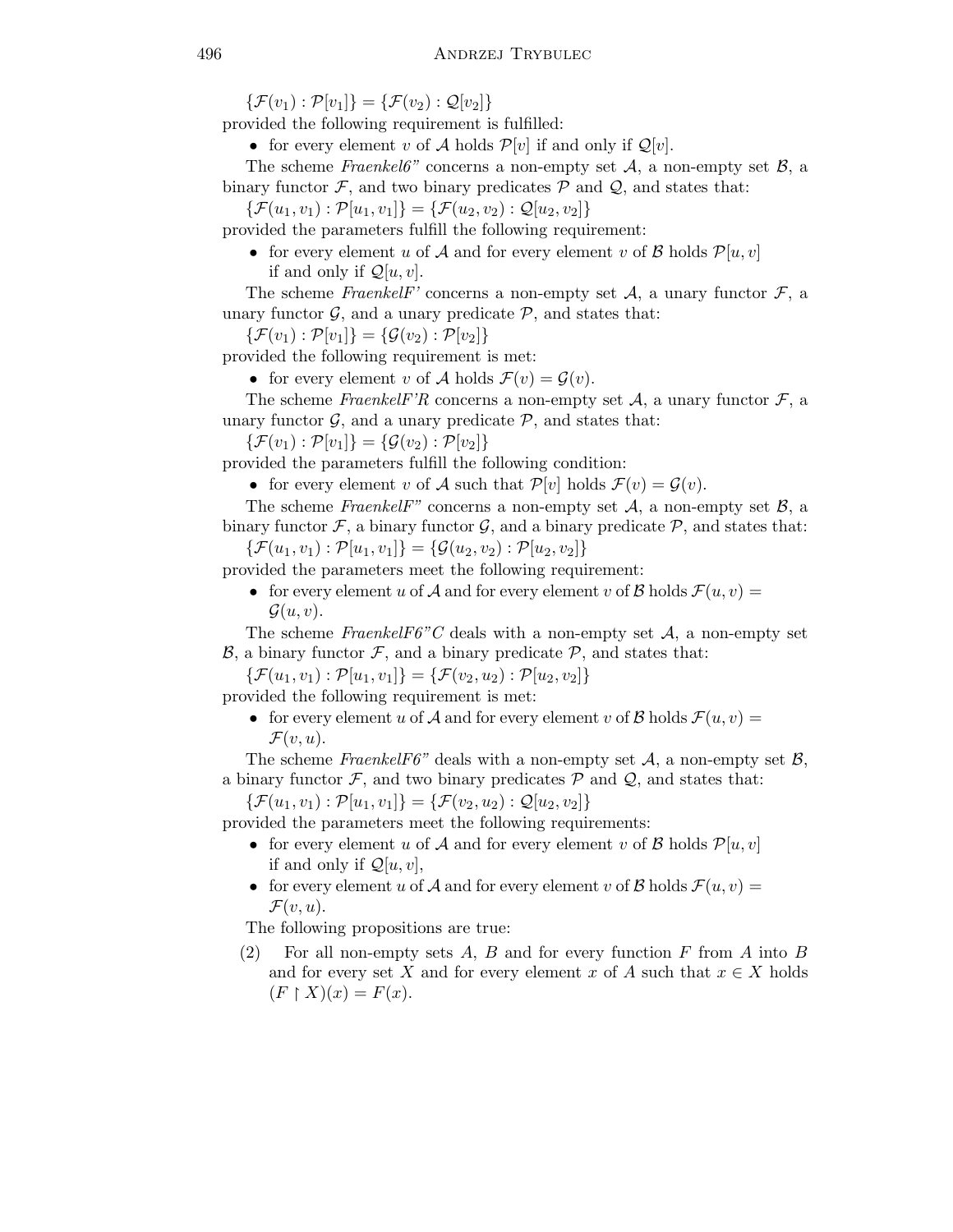$\{\mathcal{F}(v_1): \mathcal{P}[v_1]\} = \{\mathcal{F}(v_2): \mathcal{Q}[v_2]\}$ 

provided the following requirement is fulfilled:

• for every element v of A holds  $\mathcal{P}[v]$  if and only if  $\mathcal{Q}[v]$ .

The scheme Fraenkel6" concerns a non-empty set  $A$ , a non-empty set  $B$ , a binary functor  $\mathcal{F}$ , and two binary predicates  $\mathcal{P}$  and  $\mathcal{Q}$ , and states that:

 $\{\mathcal{F}(u_1,v_1): \mathcal{P}[u_1,v_1]\} = \{\mathcal{F}(u_2,v_2): \mathcal{Q}[u_2,v_2]\}$ 

provided the parameters fulfill the following requirement:

• for every element u of A and for every element v of B holds  $\mathcal{P}[u,v]$ if and only if  $\mathcal{Q}[u, v]$ .

The scheme FraenkelF' concerns a non-empty set  $A$ , a unary functor  $\mathcal{F}$ , a unary functor  $\mathcal{G}$ , and a unary predicate  $\mathcal{P}$ , and states that:

 $\{\mathcal{F}(v_1): \mathcal{P}[v_1]\} = \{\mathcal{G}(v_2): \mathcal{P}[v_2]\}$ 

provided the following requirement is met:

• for every element v of A holds  $\mathcal{F}(v) = \mathcal{G}(v)$ .

The scheme FraenkelF'R concerns a non-empty set  $A$ , a unary functor  $\mathcal{F}$ , a unary functor  $\mathcal{G}$ , and a unary predicate  $\mathcal{P}$ , and states that:

 $\{\mathcal{F}(v_1): \mathcal{P}[v_1]\} = \{\mathcal{G}(v_2): \mathcal{P}[v_2]\}$ 

provided the parameters fulfill the following condition:

• for every element v of A such that  $\mathcal{P}[v]$  holds  $\mathcal{F}(v) = \mathcal{G}(v)$ .

The scheme FraenkelF" concerns a non-empty set  $A$ , a non-empty set  $B$ , a binary functor  $\mathcal{F}$ , a binary functor  $\mathcal{G}$ , and a binary predicate  $\mathcal{P}$ , and states that:

 $\{\mathcal{F}(u_1,v_1): \mathcal{P}[u_1,v_1]\} = \{\mathcal{G}(u_2,v_2): \mathcal{P}[u_2,v_2]\}$ 

provided the parameters meet the following requirement:

• for every element u of A and for every element v of B holds  $\mathcal{F}(u,v) =$  $\mathcal{G}(u,v)$ .

The scheme FraenkelF6"C deals with a non-empty set  $A$ , a non-empty set  $\mathcal{B}$ , a binary functor  $\mathcal{F}$ , and a binary predicate  $\mathcal{P}$ , and states that:

 $\{\mathcal{F}(u_1,v_1): \mathcal{P}[u_1,v_1]\} = \{\mathcal{F}(v_2,u_2): \mathcal{P}[u_2,v_2]\}$ 

provided the following requirement is met:

• for every element u of A and for every element v of B holds  $\mathcal{F}(u,v) =$  $\mathcal{F}(v,u)$ .

The scheme FraenkelF6" deals with a non-empty set  $A$ , a non-empty set  $B$ , a binary functor  $\mathcal{F}$ , and two binary predicates  $\mathcal{P}$  and  $\mathcal{Q}$ , and states that:

 $\{\mathcal{F}(u_1,v_1): \mathcal{P}[u_1,v_1]\} = \{\mathcal{F}(v_2,u_2): \mathcal{Q}[u_2,v_2]\}$ 

provided the parameters meet the following requirements:

- for every element u of A and for every element v of B holds  $\mathcal{P}[u,v]$ if and only if  $\mathcal{Q}[u,v]$ ,
- for every element u of A and for every element v of B holds  $\mathcal{F}(u,v) =$  $\mathcal{F}(v,u).$

The following propositions are true:

(2) For all non-empty sets A, B and for every function F from A into B and for every set X and for every element x of A such that  $x \in X$  holds  $(F \restriction X)(x) = F(x).$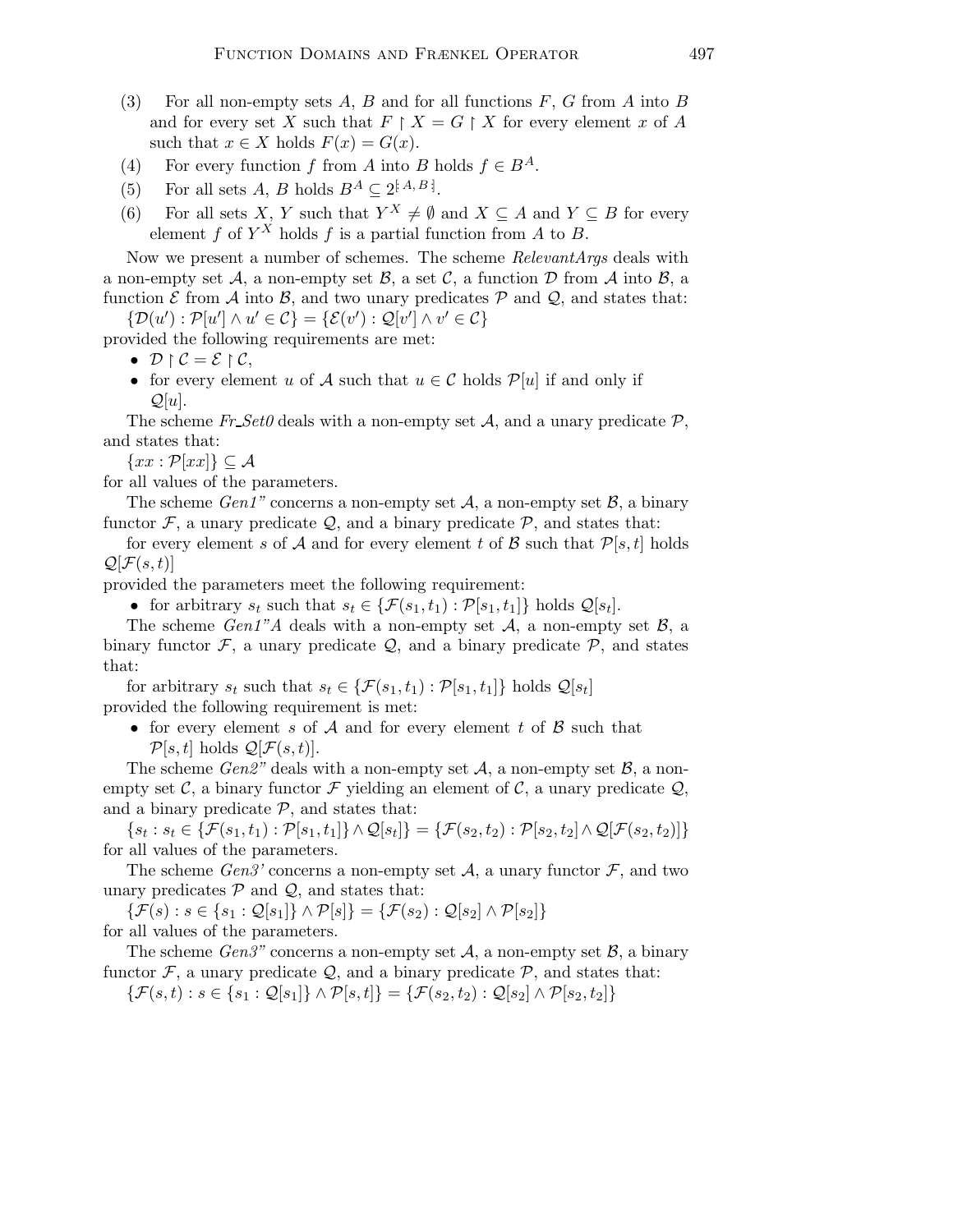- (3) For all non-empty sets A, B and for all functions  $F, G$  from A into B and for every set X such that  $F \restriction X = G \restriction X$  for every element x of A such that  $x \in X$  holds  $F(x) = G(x)$ .
- (4) For every function f from A into B holds  $f \in B^A$ .
- (5) For all sets A, B holds  $B^A \subseteq 2^{[A,B]}$ .
- (6) For all sets X, Y such that  $Y^X \neq \emptyset$  and  $X \subseteq A$  and  $Y \subseteq B$  for every element f of  $Y^X$  holds f is a partial function from A to B.

Now we present a number of schemes. The scheme RelevantArgs deals with a non-empty set A, a non-empty set B, a set C, a function D from A into B, a function  $\mathcal E$  from  $\mathcal A$  into  $\mathcal B$ , and two unary predicates  $\mathcal P$  and  $\mathcal Q$ , and states that:

 $\{\mathcal{D}(u') : \mathcal{P}[u'] \wedge u' \in \mathcal{C}\} = \{\mathcal{E}(v') : \mathcal{Q}[v'] \wedge v' \in \mathcal{C}\}\$ 

provided the following requirements are met:

- $\bullet$   $\mathcal{D} \restriction \mathcal{C} = \mathcal{E} \restriction \mathcal{C},$
- for every element u of A such that  $u \in \mathcal{C}$  holds  $\mathcal{P}[u]$  if and only if  $\mathcal{Q}[u]$ .

The scheme Fr  $Set0$  deals with a non-empty set A, and a unary predicate P, and states that:

 $\{xx : \mathcal{P}[xx]\}\subseteq \mathcal{A}$ 

for all values of the parameters.

The scheme Gen1" concerns a non-empty set  $A$ , a non-empty set  $B$ , a binary functor  $\mathcal{F}$ , a unary predicate  $\mathcal{Q}$ , and a binary predicate  $\mathcal{P}$ , and states that:

for every element s of A and for every element t of B such that  $\mathcal{P}[s,t]$  holds  $\mathcal{Q}[\mathcal{F}(s,t)]$ 

provided the parameters meet the following requirement:

• for arbitrary  $s_t$  such that  $s_t \in \{ \mathcal{F}(s_1, t_1) : \mathcal{P}[s_1, t_1] \}$  holds  $\mathcal{Q}[s_t]$ .

The scheme Gen1"A deals with a non-empty set  $A$ , a non-empty set  $B$ , a binary functor  $\mathcal{F}$ , a unary predicate  $\mathcal{Q}$ , and a binary predicate  $\mathcal{P}$ , and states that:

for arbitrary  $s_t$  such that  $s_t \in \{ \mathcal{F}(s_1, t_1) : \mathcal{P}[s_1, t_1] \}$  holds  $\mathcal{Q}[s_t]$ provided the following requirement is met:

• for every element s of  $A$  and for every element t of  $B$  such that  $\mathcal{P}[s,t]$  holds  $\mathcal{Q}[\mathcal{F}(s,t)]$ .

The scheme Gen2" deals with a non-empty set A, a non-empty set  $\mathcal{B}$ , a nonempty set C, a binary functor F yielding an element of C, a unary predicate  $Q$ , and a binary predicate  $P$ , and states that:

 $\{s_t : s_t \in \{ \mathcal{F}(s_1,t_1) : \mathcal{P}[s_1,t_1] \} \wedge \mathcal{Q}[s_t] \} = \{ \mathcal{F}(s_2,t_2) : \mathcal{P}[s_2,t_2] \wedge \mathcal{Q}[ \mathcal{F}(s_2,t_2) ] \}$ for all values of the parameters.

The scheme  $Gen3'$  concerns a non-empty set A, a unary functor F, and two unary predicates  $P$  and  $Q$ , and states that:

 $\{\mathcal{F}(s): s \in \{s_1: \mathcal{Q}[s_1]\} \wedge \mathcal{P}[s] \} = \{\mathcal{F}(s_2): \mathcal{Q}[s_2] \wedge \mathcal{P}[s_2]\}$ for all values of the parameters.

The scheme  $Gen3"$  concerns a non-empty set A, a non-empty set B, a binary functor  $\mathcal{F}$ , a unary predicate  $\mathcal{Q}$ , and a binary predicate  $\mathcal{P}$ , and states that:  $\{\mathcal{F}(s,t) : s \in \{s_1 : \mathcal{Q}[s_1]\} \wedge \mathcal{P}[s,t]\} = \{\mathcal{F}(s_2,t_2) : \mathcal{Q}[s_2] \wedge \mathcal{P}[s_2,t_2]\}$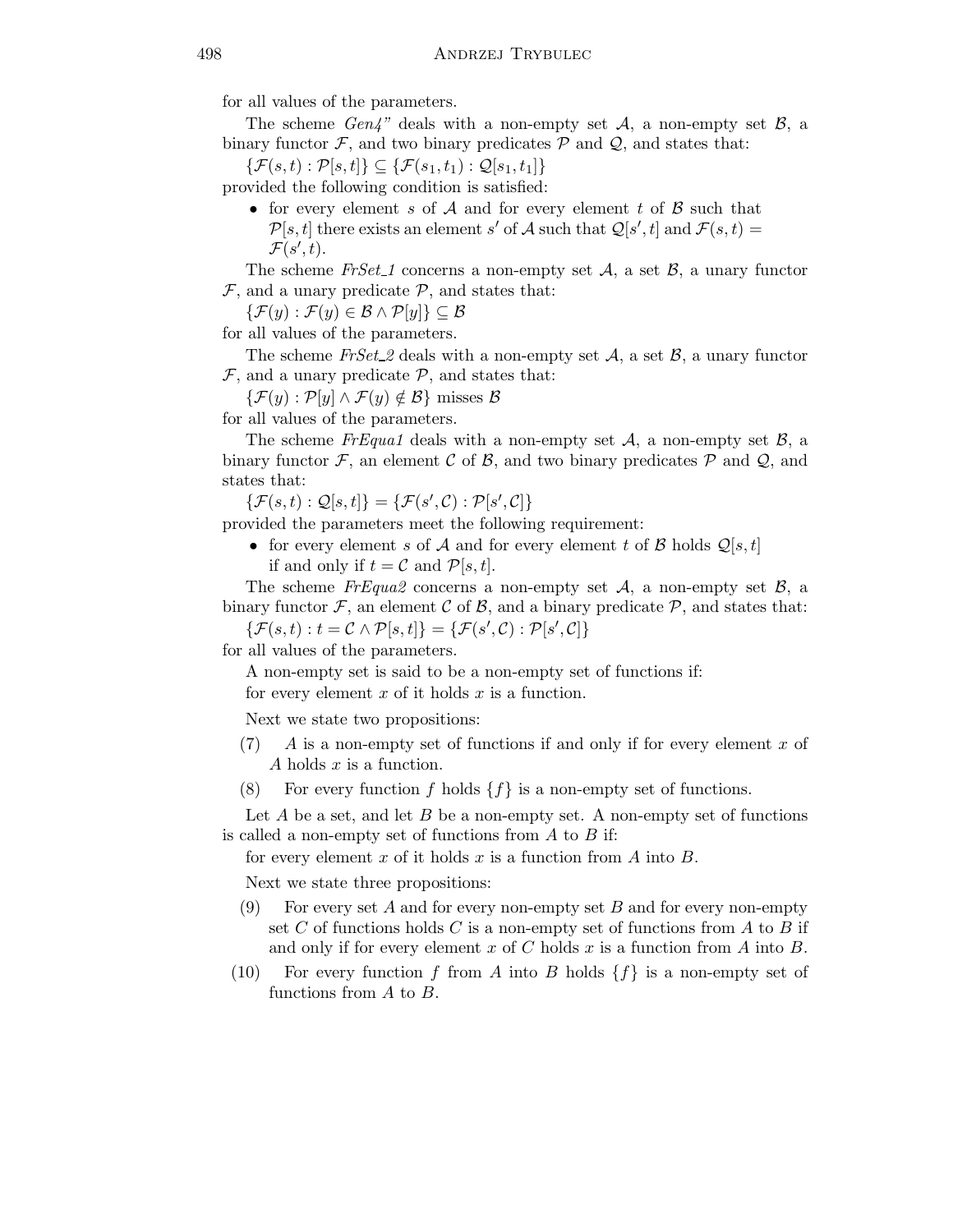for all values of the parameters.

The scheme  $Gen4"$  deals with a non-empty set A, a non-empty set B, a binary functor  $\mathcal{F}$ , and two binary predicates  $\mathcal{P}$  and  $\mathcal{Q}$ , and states that:

 $\{\mathcal{F}(s,t): \mathcal{P}[s,t]\}\subseteq \{\mathcal{F}(s_1,t_1): \mathcal{Q}[s_1,t_1]\}$ 

provided the following condition is satisfied:

• for every element s of A and for every element t of B such that  $\mathcal{P}[s,t]$  there exists an element s' of A such that  $\mathcal{Q}[s',t]$  and  $\mathcal{F}(s,t)$  $\mathcal{F}(s',t)$ .

The scheme FrSet 1 concerns a non-empty set A, a set B, a unary functor  $\mathcal{F}$ , and a unary predicate  $\mathcal{P}$ , and states that:

 $\{\mathcal{F}(y): \mathcal{F}(y) \in \mathcal{B} \wedge \mathcal{P}[y]\} \subseteq \mathcal{B}$ 

for all values of the parameters.

The scheme  $FrSet_2$  deals with a non-empty set  $A$ , a set  $B$ , a unary functor  $\mathcal{F}$ , and a unary predicate  $\mathcal{P}$ , and states that:

 $\{\mathcal{F}(y): \mathcal{P}[y] \wedge \mathcal{F}(y) \notin \mathcal{B}\}\$ misses  $\mathcal{B}$ 

for all values of the parameters.

The scheme  $FrExqual$  deals with a non-empty set  $A$ , a non-empty set  $B$ , a binary functor  $\mathcal{F}$ , an element  $\mathcal{C}$  of  $\mathcal{B}$ , and two binary predicates  $\mathcal{P}$  and  $\mathcal{Q}$ , and states that:

 $\{\mathcal{F}(s,t): \mathcal{Q}[s,t]\} = \{\mathcal{F}(s',\mathcal{C}): \mathcal{P}[s',\mathcal{C}]\}$ 

provided the parameters meet the following requirement:

• for every element s of A and for every element t of B holds  $\mathcal{Q}[s,t]$ if and only if  $t = C$  and  $\mathcal{P}[s,t]$ .

The scheme FrEqua2 concerns a non-empty set  $A$ , a non-empty set  $B$ , a binary functor  $\mathcal F$ , an element C of B, and a binary predicate  $\mathcal P$ , and states that:

 $\{\mathcal{F}(s,t): t = \mathcal{C} \wedge \mathcal{P}[s,t]\} = \{\mathcal{F}(s',\mathcal{C}): \mathcal{P}[s',\mathcal{C}]\}$ 

for all values of the parameters.

A non-empty set is said to be a non-empty set of functions if:

for every element  $x$  of it holds  $x$  is a function.

Next we state two propositions:

- $(7)$  A is a non-empty set of functions if and only if for every element x of A holds x is a function.
- (8) For every function f holds  $\{f\}$  is a non-empty set of functions.

Let  $A$  be a set, and let  $B$  be a non-empty set. A non-empty set of functions is called a non-empty set of functions from  $A$  to  $B$  if:

for every element x of it holds x is a function from A into  $B$ .

Next we state three propositions:

- (9) For every set A and for every non-empty set B and for every non-empty set C of functions holds C is a non-empty set of functions from A to B if and only if for every element x of C holds x is a function from A into  $B$ .
- (10) For every function f from A into B holds  $\{f\}$  is a non-empty set of functions from A to B.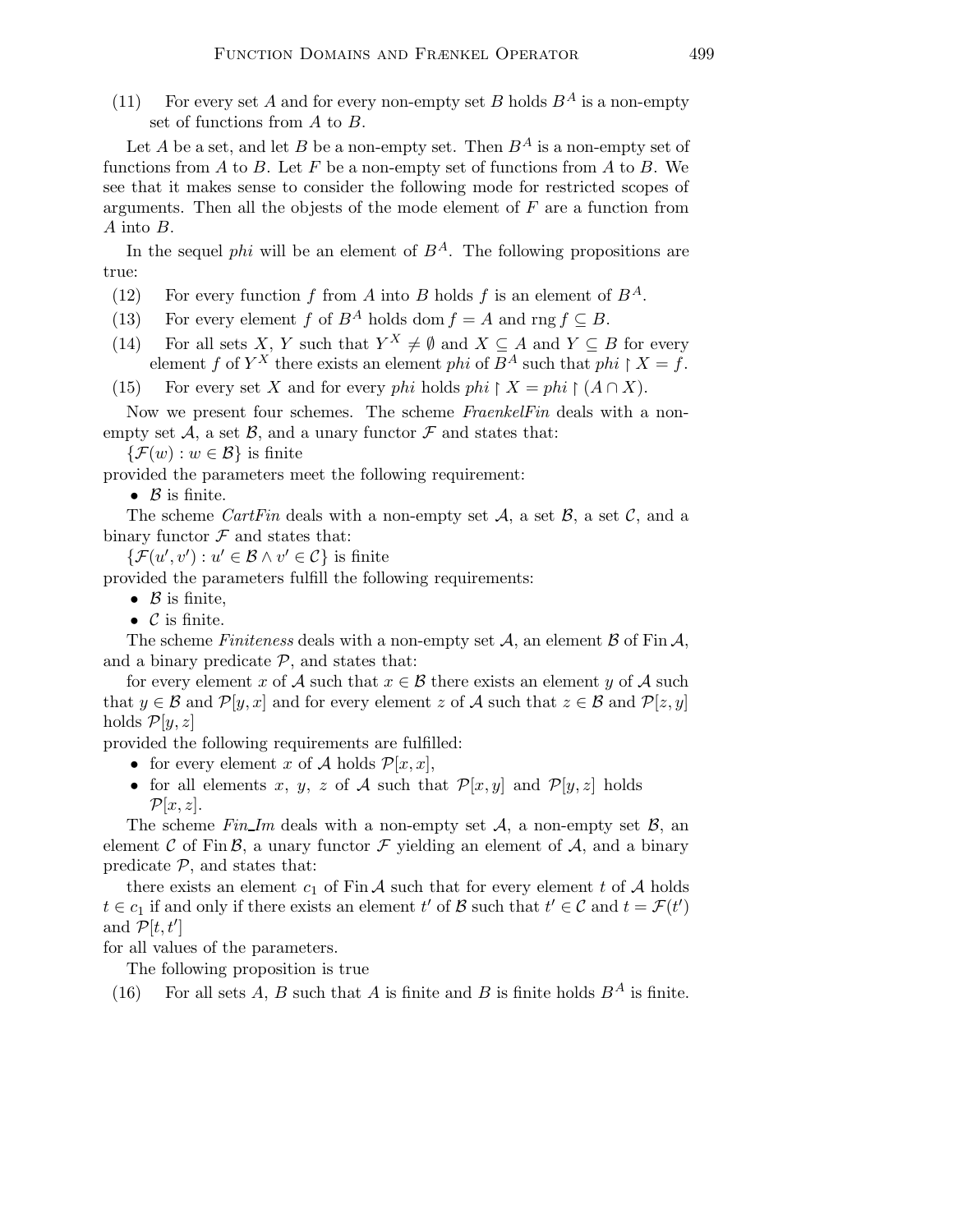(11) For every set A and for every non-empty set B holds  $B^A$  is a non-empty set of functions from A to B.

Let A be a set, and let B be a non-empty set. Then  $B^A$  is a non-empty set of functions from A to B. Let F be a non-empty set of functions from A to B. We see that it makes sense to consider the following mode for restricted scopes of arguments. Then all the objests of the mode element of  $F$  are a function from A into B.

In the sequel *phi* will be an element of  $B^A$ . The following propositions are true:

- (12) For every function f from A into B holds f is an element of  $B^A$ .
- (13) For every element f of  $B^A$  holds dom  $f = A$  and rng  $f \subseteq B$ .
- (14) For all sets X, Y such that  $Y^X \neq \emptyset$  and  $X \subseteq A$  and  $Y \subseteq B$  for every element f of  $Y^X$  there exists an element phi of  $B^A$  such that phi  $\restriction X = f$ .

(15) For every set X and for every phi holds phi  $\restriction X = phi \restriction (A \cap X)$ .

Now we present four schemes. The scheme FraenkelFin deals with a nonempty set  $\mathcal{A}$ , a set  $\mathcal{B}$ , and a unary functor  $\mathcal F$  and states that:

 $\{\mathcal{F}(w): w \in \mathcal{B}\}\$ is finite

provided the parameters meet the following requirement:

•  $\beta$  is finite.

The scheme CartFin deals with a non-empty set A, a set B, a set C, and a binary functor  $\mathcal F$  and states that:

 $\{\mathcal{F}(u',v'): u' \in \mathcal{B} \wedge v' \in \mathcal{C}\}\$ is finite

provided the parameters fulfill the following requirements:

- $\beta$  is finite,
- $\mathcal C$  is finite.

The scheme Finiteness deals with a non-empty set  $A$ , an element  $B$  of Fin  $A$ , and a binary predicate  $P$ , and states that:

for every element x of A such that  $x \in \mathcal{B}$  there exists an element y of A such that  $y \in \mathcal{B}$  and  $\mathcal{P}[y, x]$  and for every element z of A such that  $z \in \mathcal{B}$  and  $\mathcal{P}[z, y]$ holds  $\mathcal{P}[y,z]$ 

provided the following requirements are fulfilled:

- for every element x of A holds  $\mathcal{P}[x, x]$ ,
- for all elements x, y, z of A such that  $\mathcal{P}[x,y]$  and  $\mathcal{P}[y,z]$  holds  $\mathcal{P}[x,z]$ .

The scheme Fin Im deals with a non-empty set A, a non-empty set  $\beta$ , and element C of Fin B, a unary functor F yielding an element of  $A$ , and a binary predicate  $P$ , and states that:

there exists an element  $c_1$  of Fin A such that for every element t of A holds  $t \in c_1$  if and only if there exists an element  $t'$  of  $\mathcal{B}$  such that  $t' \in \mathcal{C}$  and  $t = \mathcal{F}(t')$ and  $\overline{\mathcal{P}}[t,t']$ 

for all values of the parameters.

The following proposition is true

(16) For all sets A, B such that A is finite and B is finite holds  $B^A$  is finite.